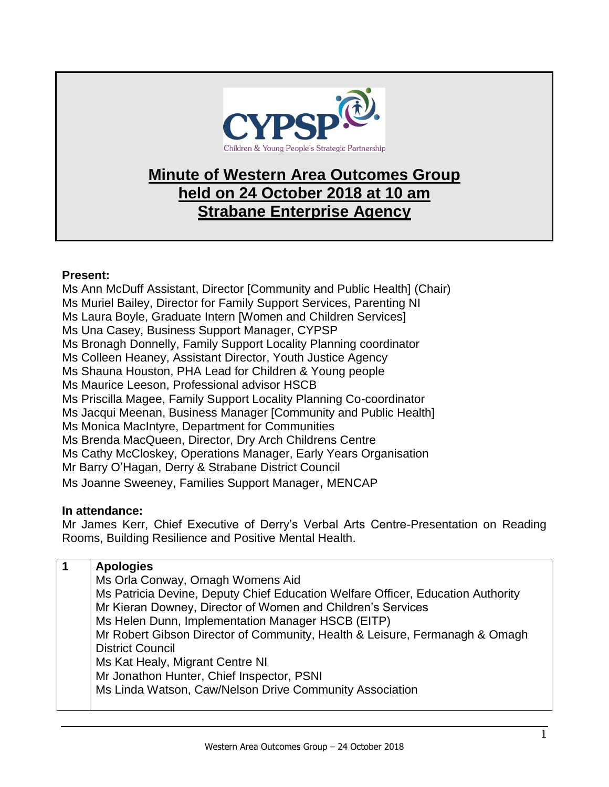

## **Minute of Western Area Outcomes Group held on 24 October 2018 at 10 am Strabane Enterprise Agency**

## **Present:**

Ms Ann McDuff Assistant, Director [Community and Public Health] (Chair) Ms Muriel Bailey, Director for Family Support Services, Parenting NI Ms Laura Boyle, Graduate Intern [Women and Children Services] Ms Una Casey, Business Support Manager, CYPSP Ms Bronagh Donnelly, Family Support Locality Planning coordinator Ms Colleen Heaney, Assistant Director, Youth Justice Agency Ms Shauna Houston, PHA Lead for Children & Young people Ms Maurice Leeson, Professional advisor HSCB Ms Priscilla Magee, Family Support Locality Planning Co-coordinator Ms Jacqui Meenan, Business Manager [Community and Public Health] Ms Monica MacIntyre, Department for Communities Ms Brenda MacQueen, Director, Dry Arch Childrens Centre Ms Cathy McCloskey, Operations Manager, Early Years Organisation Mr Barry O'Hagan, Derry & Strabane District Council Ms Joanne Sweeney, Families Support Manager, MENCAP

## **In attendance:**

Mr James Kerr, Chief Executive of Derry's Verbal Arts Centre-Presentation on Reading Rooms, Building Resilience and Positive Mental Health.

| <b>Apologies</b>                                                                |
|---------------------------------------------------------------------------------|
| Ms Orla Conway, Omagh Womens Aid                                                |
| Ms Patricia Devine, Deputy Chief Education Welfare Officer, Education Authority |
| Mr Kieran Downey, Director of Women and Children's Services                     |
| Ms Helen Dunn, Implementation Manager HSCB (EITP)                               |
| Mr Robert Gibson Director of Community, Health & Leisure, Fermanagh & Omagh     |
| <b>District Council</b>                                                         |
| Ms Kat Healy, Migrant Centre NI                                                 |
| Mr Jonathon Hunter, Chief Inspector, PSNI                                       |
| Ms Linda Watson, Caw/Nelson Drive Community Association                         |
|                                                                                 |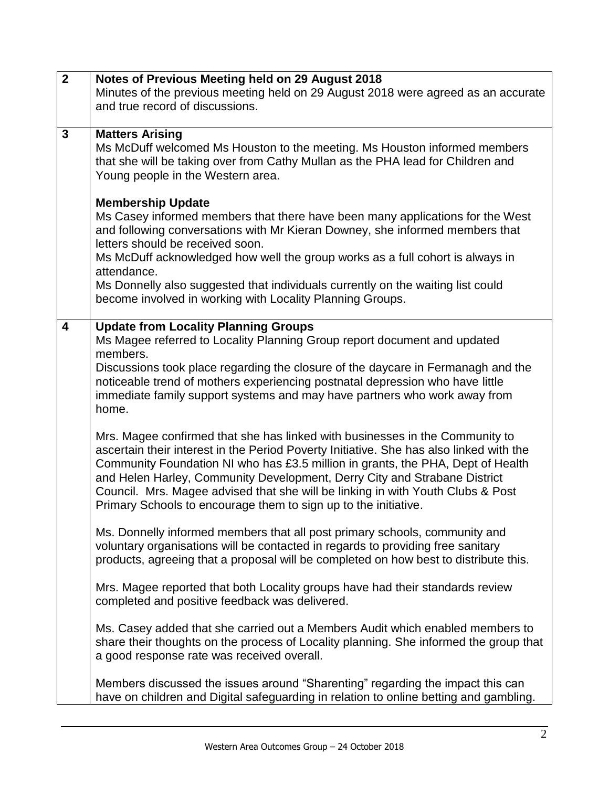| $\overline{2}$ | Notes of Previous Meeting held on 29 August 2018                                                                                                                                                                                                                                                                                                                                                                                                                                              |
|----------------|-----------------------------------------------------------------------------------------------------------------------------------------------------------------------------------------------------------------------------------------------------------------------------------------------------------------------------------------------------------------------------------------------------------------------------------------------------------------------------------------------|
|                | Minutes of the previous meeting held on 29 August 2018 were agreed as an accurate                                                                                                                                                                                                                                                                                                                                                                                                             |
|                | and true record of discussions.                                                                                                                                                                                                                                                                                                                                                                                                                                                               |
|                |                                                                                                                                                                                                                                                                                                                                                                                                                                                                                               |
| $\mathbf{3}$   | <b>Matters Arising</b><br>Ms McDuff welcomed Ms Houston to the meeting. Ms Houston informed members<br>that she will be taking over from Cathy Mullan as the PHA lead for Children and<br>Young people in the Western area.                                                                                                                                                                                                                                                                   |
|                | <b>Membership Update</b><br>Ms Casey informed members that there have been many applications for the West<br>and following conversations with Mr Kieran Downey, she informed members that<br>letters should be received soon.<br>Ms McDuff acknowledged how well the group works as a full cohort is always in<br>attendance.<br>Ms Donnelly also suggested that individuals currently on the waiting list could<br>become involved in working with Locality Planning Groups.                 |
| 4              | <b>Update from Locality Planning Groups</b><br>Ms Magee referred to Locality Planning Group report document and updated<br>members.<br>Discussions took place regarding the closure of the daycare in Fermanagh and the<br>noticeable trend of mothers experiencing postnatal depression who have little<br>immediate family support systems and may have partners who work away from<br>home.                                                                                                |
|                | Mrs. Magee confirmed that she has linked with businesses in the Community to<br>ascertain their interest in the Period Poverty Initiative. She has also linked with the<br>Community Foundation NI who has £3.5 million in grants, the PHA, Dept of Health<br>and Helen Harley, Community Development, Derry City and Strabane District<br>Council. Mrs. Magee advised that she will be linking in with Youth Clubs & Post<br>Primary Schools to encourage them to sign up to the initiative. |
|                | Ms. Donnelly informed members that all post primary schools, community and<br>voluntary organisations will be contacted in regards to providing free sanitary<br>products, agreeing that a proposal will be completed on how best to distribute this.                                                                                                                                                                                                                                         |
|                | Mrs. Magee reported that both Locality groups have had their standards review<br>completed and positive feedback was delivered.                                                                                                                                                                                                                                                                                                                                                               |
|                | Ms. Casey added that she carried out a Members Audit which enabled members to<br>share their thoughts on the process of Locality planning. She informed the group that<br>a good response rate was received overall.                                                                                                                                                                                                                                                                          |
|                | Members discussed the issues around "Sharenting" regarding the impact this can<br>have on children and Digital safeguarding in relation to online betting and gambling.                                                                                                                                                                                                                                                                                                                       |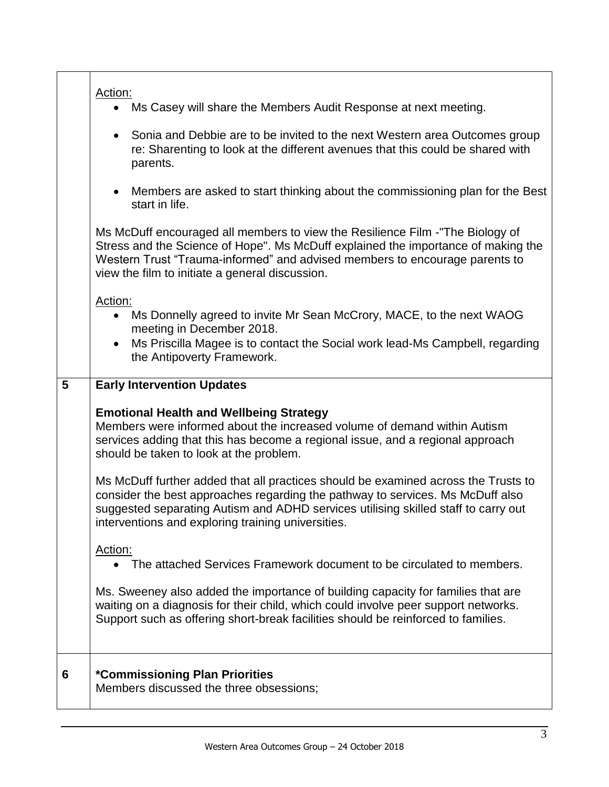| 5 | Action:<br>Ms Casey will share the Members Audit Response at next meeting.<br>Sonia and Debbie are to be invited to the next Western area Outcomes group<br>re: Sharenting to look at the different avenues that this could be shared with<br>parents.<br>Members are asked to start thinking about the commissioning plan for the Best<br>start in life.<br>Ms McDuff encouraged all members to view the Resilience Film -"The Biology of<br>Stress and the Science of Hope". Ms McDuff explained the importance of making the<br>Western Trust "Trauma-informed" and advised members to encourage parents to<br>view the film to initiate a general discussion.<br>Action:<br>Ms Donnelly agreed to invite Mr Sean McCrory, MACE, to the next WAOG<br>meeting in December 2018.<br>Ms Priscilla Magee is to contact the Social work lead-Ms Campbell, regarding<br>the Antipoverty Framework.<br><b>Early Intervention Updates</b><br><b>Emotional Health and Wellbeing Strategy</b><br>Members were informed about the increased volume of demand within Autism<br>services adding that this has become a regional issue, and a regional approach<br>should be taken to look at the problem.<br>Ms McDuff further added that all practices should be examined across the Trusts to |
|---|---------------------------------------------------------------------------------------------------------------------------------------------------------------------------------------------------------------------------------------------------------------------------------------------------------------------------------------------------------------------------------------------------------------------------------------------------------------------------------------------------------------------------------------------------------------------------------------------------------------------------------------------------------------------------------------------------------------------------------------------------------------------------------------------------------------------------------------------------------------------------------------------------------------------------------------------------------------------------------------------------------------------------------------------------------------------------------------------------------------------------------------------------------------------------------------------------------------------------------------------------------------------------------------|
|   | consider the best approaches regarding the pathway to services. Ms McDuff also<br>suggested separating Autism and ADHD services utilising skilled staff to carry out                                                                                                                                                                                                                                                                                                                                                                                                                                                                                                                                                                                                                                                                                                                                                                                                                                                                                                                                                                                                                                                                                                                  |
|   | interventions and exploring training universities.<br>Action:                                                                                                                                                                                                                                                                                                                                                                                                                                                                                                                                                                                                                                                                                                                                                                                                                                                                                                                                                                                                                                                                                                                                                                                                                         |
|   | The attached Services Framework document to be circulated to members.<br>Ms. Sweeney also added the importance of building capacity for families that are<br>waiting on a diagnosis for their child, which could involve peer support networks.<br>Support such as offering short-break facilities should be reinforced to families.                                                                                                                                                                                                                                                                                                                                                                                                                                                                                                                                                                                                                                                                                                                                                                                                                                                                                                                                                  |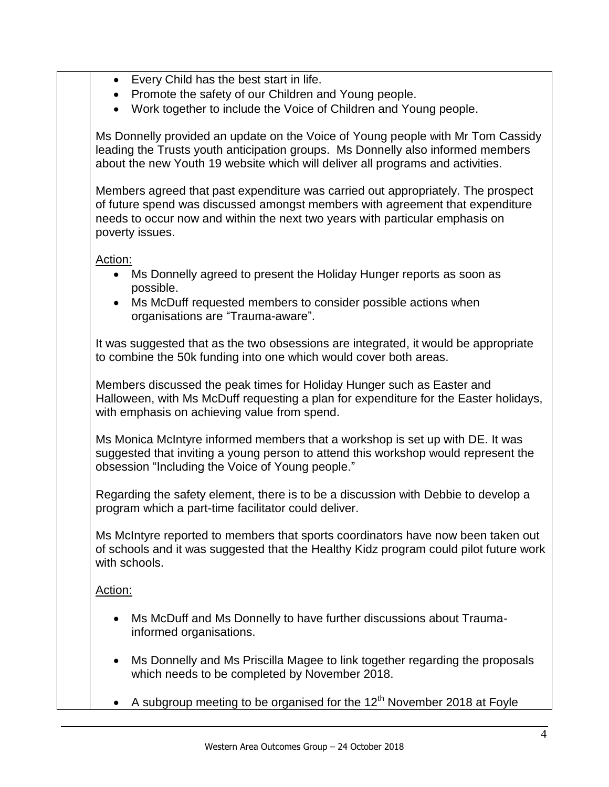- Every Child has the best start in life.
- Promote the safety of our Children and Young people.
- Work together to include the Voice of Children and Young people.

Ms Donnelly provided an update on the Voice of Young people with Mr Tom Cassidy leading the Trusts youth anticipation groups. Ms Donnelly also informed members about the new Youth 19 website which will deliver all programs and activities.

Members agreed that past expenditure was carried out appropriately. The prospect of future spend was discussed amongst members with agreement that expenditure needs to occur now and within the next two years with particular emphasis on poverty issues.

Action:

- Ms Donnelly agreed to present the Holiday Hunger reports as soon as possible.
- Ms McDuff requested members to consider possible actions when organisations are "Trauma-aware".

It was suggested that as the two obsessions are integrated, it would be appropriate to combine the 50k funding into one which would cover both areas.

Members discussed the peak times for Holiday Hunger such as Easter and Halloween, with Ms McDuff requesting a plan for expenditure for the Easter holidays, with emphasis on achieving value from spend.

Ms Monica McIntyre informed members that a workshop is set up with DE. It was suggested that inviting a young person to attend this workshop would represent the obsession "Including the Voice of Young people."

Regarding the safety element, there is to be a discussion with Debbie to develop a program which a part-time facilitator could deliver.

Ms McIntyre reported to members that sports coordinators have now been taken out of schools and it was suggested that the Healthy Kidz program could pilot future work with schools.

Action:

- Ms McDuff and Ms Donnelly to have further discussions about Traumainformed organisations.
- Ms Donnelly and Ms Priscilla Magee to link together regarding the proposals which needs to be completed by November 2018.
- A subgroup meeting to be organised for the  $12<sup>th</sup>$  November 2018 at Foyle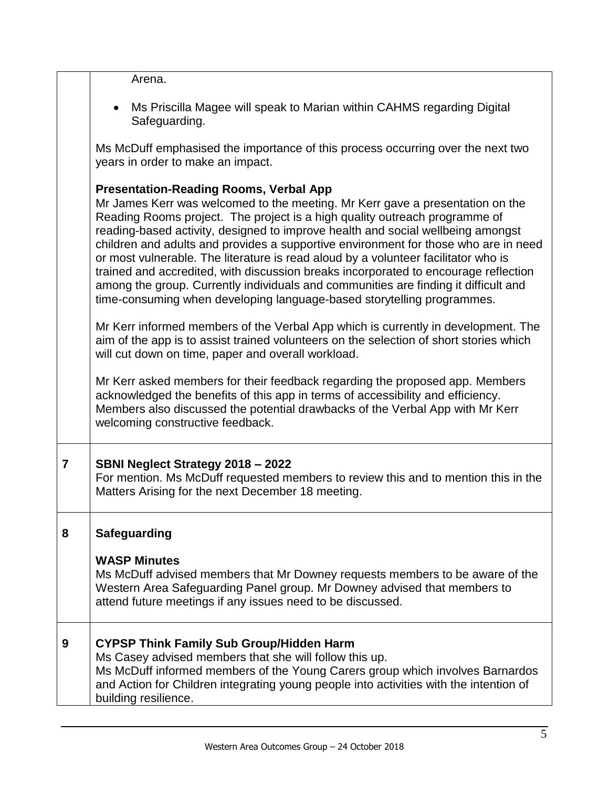|                | Arena.                                                                                                                                                                                                                                                                                                                                                                                                                                                                                                                                                                                                                                                                                                                               |
|----------------|--------------------------------------------------------------------------------------------------------------------------------------------------------------------------------------------------------------------------------------------------------------------------------------------------------------------------------------------------------------------------------------------------------------------------------------------------------------------------------------------------------------------------------------------------------------------------------------------------------------------------------------------------------------------------------------------------------------------------------------|
|                | Ms Priscilla Magee will speak to Marian within CAHMS regarding Digital<br>Safeguarding.                                                                                                                                                                                                                                                                                                                                                                                                                                                                                                                                                                                                                                              |
|                | Ms McDuff emphasised the importance of this process occurring over the next two<br>years in order to make an impact.                                                                                                                                                                                                                                                                                                                                                                                                                                                                                                                                                                                                                 |
|                | <b>Presentation-Reading Rooms, Verbal App</b><br>Mr James Kerr was welcomed to the meeting. Mr Kerr gave a presentation on the<br>Reading Rooms project. The project is a high quality outreach programme of<br>reading-based activity, designed to improve health and social wellbeing amongst<br>children and adults and provides a supportive environment for those who are in need<br>or most vulnerable. The literature is read aloud by a volunteer facilitator who is<br>trained and accredited, with discussion breaks incorporated to encourage reflection<br>among the group. Currently individuals and communities are finding it difficult and<br>time-consuming when developing language-based storytelling programmes. |
|                | Mr Kerr informed members of the Verbal App which is currently in development. The<br>aim of the app is to assist trained volunteers on the selection of short stories which<br>will cut down on time, paper and overall workload.                                                                                                                                                                                                                                                                                                                                                                                                                                                                                                    |
|                | Mr Kerr asked members for their feedback regarding the proposed app. Members<br>acknowledged the benefits of this app in terms of accessibility and efficiency.<br>Members also discussed the potential drawbacks of the Verbal App with Mr Kerr<br>welcoming constructive feedback.                                                                                                                                                                                                                                                                                                                                                                                                                                                 |
| $\overline{7}$ | SBNI Neglect Strategy 2018 - 2022<br>For mention. Ms McDuff requested members to review this and to mention this in the<br>Matters Arising for the next December 18 meeting.                                                                                                                                                                                                                                                                                                                                                                                                                                                                                                                                                         |
| 8              | <b>Safeguarding</b>                                                                                                                                                                                                                                                                                                                                                                                                                                                                                                                                                                                                                                                                                                                  |
|                | <b>WASP Minutes</b><br>Ms McDuff advised members that Mr Downey requests members to be aware of the<br>Western Area Safeguarding Panel group. Mr Downey advised that members to<br>attend future meetings if any issues need to be discussed.                                                                                                                                                                                                                                                                                                                                                                                                                                                                                        |
| 9              | <b>CYPSP Think Family Sub Group/Hidden Harm</b><br>Ms Casey advised members that she will follow this up.<br>Ms McDuff informed members of the Young Carers group which involves Barnardos<br>and Action for Children integrating young people into activities with the intention of<br>building resilience.                                                                                                                                                                                                                                                                                                                                                                                                                         |